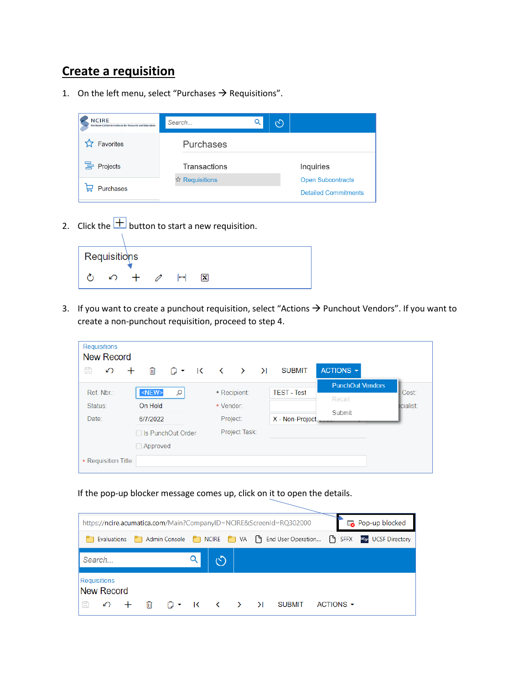# **Create a requisition**

1. On the left menu, select "Purchases  $\rightarrow$  Requisitions".

| <b>NCIRE</b><br>Northern California Institute for Research and Education | Search         | ෆ                           |
|--------------------------------------------------------------------------|----------------|-----------------------------|
| Favorites                                                                | Purchases      |                             |
| 금 Projects                                                               | Transactions   | Inquiries                   |
|                                                                          | ☆ Requisitions | <b>Open Subcontracts</b>    |
| Purchases                                                                |                | <b>Detailed Commitments</b> |

2. Click the  $\frac{+}{\sqrt{2}}$  button to start a new requisition.

| Requisitions |   |  |                   |     |  |
|--------------|---|--|-------------------|-----|--|
|              | ↶ |  | $\leftrightarrow$ | IхI |  |

3. If you want to create a punchout requisition, select "Actions  $\rightarrow$  Punchout Vendors". If you want to create a non-punchout requisition, proceed to step 4.

| <b>Requisitions</b><br><b>New Record</b> |                     |     |                         |           |               |                    |                         |
|------------------------------------------|---------------------|-----|-------------------------|-----------|---------------|--------------------|-------------------------|
| H<br>↶                                   | 圃                   | ∩ ▼ | $\overline{\mathbf{K}}$ |           | ( ) X         | <b>SUBMIT</b>      | ACTIONS -               |
|                                          |                     |     |                         |           |               |                    | <b>PunchOut Vendors</b> |
| Ref. Nbr.:                               | $<\!\!NEW\!\!>$     | Q   |                         |           | * Recipient:  | <b>TEST - Test</b> | Recall                  |
| Status:                                  | On Hold             |     |                         | * Vendor: |               |                    | Submit                  |
| Date:                                    | 6/7/2022            |     |                         |           | Project:      | X - Non-Project    |                         |
|                                          | □ Is PunchOut Order |     |                         |           | Project Task: |                    |                         |
|                                          | $\Box$ Approved     |     |                         |           |               |                    |                         |
| * Requisition Title:                     |                     |     |                         |           |               |                    |                         |

If the pop-up blocker message comes up, click on it to open the details.

|           |                            |       |  |   |  | https://ncire.acumatica.com/Main?CompanyID=NCIRE&ScreenId=RQ302000                                                      |                | Pop-up blocked          |
|-----------|----------------------------|-------|--|---|--|-------------------------------------------------------------------------------------------------------------------------|----------------|-------------------------|
|           |                            |       |  |   |  | Evaluations <b>C</b> Admin Console <b>C</b> NCIRE <b>C</b> VA $\begin{bmatrix} 9 \\ 1 \end{bmatrix}$ End User Operation |                | SFFX USF UCSF Directory |
|           | Search                     |       |  | ෆ |  |                                                                                                                         |                |                         |
|           | Requisitions<br>New Record |       |  |   |  |                                                                                                                         |                |                         |
| $\boxdot$ |                            | の 十 冊 |  |   |  |                                                                                                                         | ACTIONS $\sim$ |                         |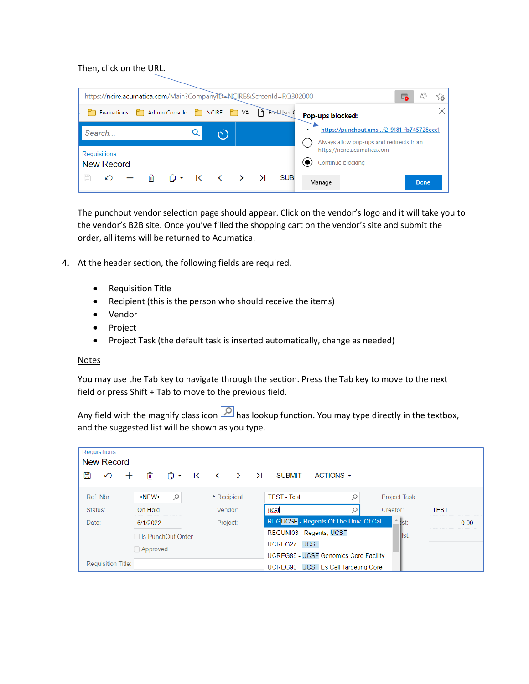### Then, click on the URL.

|   |                                          |   | https://ncire.acumatica.com/Main?CompanyID=NCIRE&ScreenId=RQ302000 |              |    |             |                  |                                                                                     | ⊷ |       | ్త |
|---|------------------------------------------|---|--------------------------------------------------------------------|--------------|----|-------------|------------------|-------------------------------------------------------------------------------------|---|-------|----|
|   | Evaluations                              |   | Admin Console                                                      | $\Box$ NCIRE | VA | End-User (  | Pop-ups blocked: |                                                                                     |   |       |    |
|   | Search                                   |   |                                                                    |              |    |             |                  | https://punchout.xmsf2-9181-fb745728ecc1<br>Always allow pop-ups and redirects from |   |       |    |
|   | <b>Requisitions</b><br><b>New Record</b> |   |                                                                    |              |    |             |                  | https://ncire.acumatica.com<br>Continue blocking                                    |   |       |    |
| Ħ | ↶                                        | 血 | A • K < > >                                                        |              |    | <b>SUBI</b> | Manage           |                                                                                     |   | Done. |    |

The punchout vendor selection page should appear. Click on the vendor's logo and it will take you to the vendor's B2B site. Once you've filled the shopping cart on the vendor's site and submit the order, all items will be returned to Acumatica.

- 4. At the header section, the following fields are required.
	- Requisition Title
	- Recipient (this is the person who should receive the items)
	- Vendor
	- Project
	- Project Task (the default task is inserted automatically, change as needed)

#### **Notes**

You may use the Tab key to navigate through the section. Press the Tab key to move to the next field or press Shift + Tab to move to the previous field.

Any field with the magnify class icon  $\boxed{2}$  has lookup function. You may type directly in the textbox, and the suggested list will be shown as you type.

| <b>Requisitions</b><br><b>New Record</b> |   |                     |     |   |   |               |        |                       |                                              |   |               |             |      |
|------------------------------------------|---|---------------------|-----|---|---|---------------|--------|-----------------------|----------------------------------------------|---|---------------|-------------|------|
| n                                        | ∽ | 侕                   | ி ▼ | K | ≺ | $\rightarrow$ | $\geq$ | <b>SUBMIT</b>         | ACTIONS -                                    |   |               |             |      |
| Ref. Nbr.:                               |   | $<$ NEW $>$         | Q   |   |   | * Recipient:  |        | <b>TEST - Test</b>    |                                              | Q | Project Task: |             |      |
| Status:                                  |   | On Hold             |     |   |   | Vendor:       |        | ucsf                  |                                              |   | Creator:      | <b>TEST</b> |      |
| Date:                                    |   | 6/1/2022            |     |   |   | Project:      |        |                       | REGUCSF - Regents Of The Univ. Of Cal.       |   | ∸<br>st:      |             | 0.00 |
|                                          |   | □ Is PunchOut Order |     |   |   |               |        |                       | REGUNI03 - Regents, UCSF                     |   | llist:        |             |      |
|                                          |   | $\Box$ Approved     |     |   |   |               |        | <b>UCREG27 - UCSF</b> |                                              |   |               |             |      |
|                                          |   |                     |     |   |   |               |        |                       | <b>UCREG89 - UCSF Genomics Core Facility</b> |   |               |             |      |
| <b>Requisition Title:</b>                |   |                     |     |   |   |               |        |                       | UCREG90 - UCSF Es Cell Targeting Core        |   |               |             |      |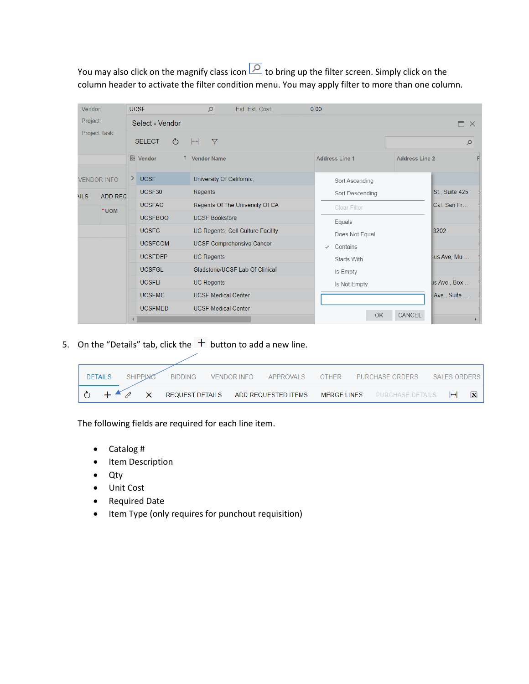You may also click on the magnify class icon  $\boxed{\circ}$  to bring up the filter screen. Simply click on the column header to activate the filter condition menu. You may apply filter to more than one column.

| Vendor:     |                    |                | <b>UCSF</b>                    | $\mathcal{Q}$<br>Est. Ext. Cost:   | 0.00                  |                 |                       |                       |
|-------------|--------------------|----------------|--------------------------------|------------------------------------|-----------------------|-----------------|-----------------------|-----------------------|
| Project:    |                    |                | Select - Vendor                |                                    |                       |                 |                       | $\Box$ $\times$       |
|             | Project Task:      |                | <b>SELECT</b><br>$\mathcal{C}$ | $ \rightarrow $<br>$\triangledown$ |                       |                 |                       | $\varphi$             |
|             |                    |                | <b>B</b> Vendor                | <b>Vendor Name</b>                 | <b>Address Line 1</b> |                 | <b>Address Line 2</b> |                       |
|             | <b>VENDOR INFO</b> | ≻              | <b>UCSF</b>                    | University Of California,          |                       | Sort Ascending  |                       |                       |
| <b>NILS</b> | <b>ADD REC</b>     |                | UCSF30                         | Regents                            |                       | Sort Descending |                       | <b>St., Suite 425</b> |
|             |                    |                | <b>UCSFAC</b>                  | Regents Of The University Of CA    |                       | Clear Filter    |                       | Cal. San Fr           |
| *UOM        |                    | <b>UCSFBOO</b> | <b>UCSF Bookstore</b>          |                                    | Equals                |                 |                       |                       |
|             |                    |                | <b>UCSFC</b>                   | UC Regents, Cell Culture Facility  |                       | Does Not Equal  |                       | 3202                  |
|             |                    |                | <b>UCSFCOM</b>                 | <b>UCSF Comprehensive Cancer</b>   | $\checkmark$          | Contains        |                       |                       |
|             |                    |                | <b>UCSFDEP</b>                 | <b>UC Regents</b>                  |                       | Starts With     |                       | sus Ave, Mu           |
|             |                    |                | <b>UCSFGL</b>                  | Gladstone/UCSF Lab Of Clinical     |                       | Is Empty        |                       |                       |
|             |                    |                | <b>UCSFLI</b>                  | <b>UC Regents</b>                  |                       | Is Not Empty    |                       | us Ave., Box          |
|             |                    |                | <b>UCSFMC</b>                  | <b>UCSF Medical Center</b>         |                       |                 |                       | Ave., Suite           |
|             |                    |                | <b>UCSFMED</b>                 | <b>UCSF Medical Center</b>         |                       | <b>OK</b>       | CANCEL                |                       |
|             |                    |                |                                |                                    |                       |                 |                       |                       |

5. On the "Details" tab, click the  $+$  button to add a new line.

| <b>DETAILS</b> | <b>SHIPPING</b> | <b>BIDDING</b>  | VENDOR INFO | APPROVALS           | OTHER       | PURCHASE ORDERS  | SALES ORDERS |                   |   |
|----------------|-----------------|-----------------|-------------|---------------------|-------------|------------------|--------------|-------------------|---|
|                |                 | REQUEST DETAILS |             | ADD REQUESTED ITEMS | MERGE LINES | PURCHASE DETAILS |              | $\leftrightarrow$ | 図 |

The following fields are required for each line item.

- Catalog #
- Item Description
- Qty
- Unit Cost
- Required Date
- Item Type (only requires for punchout requisition)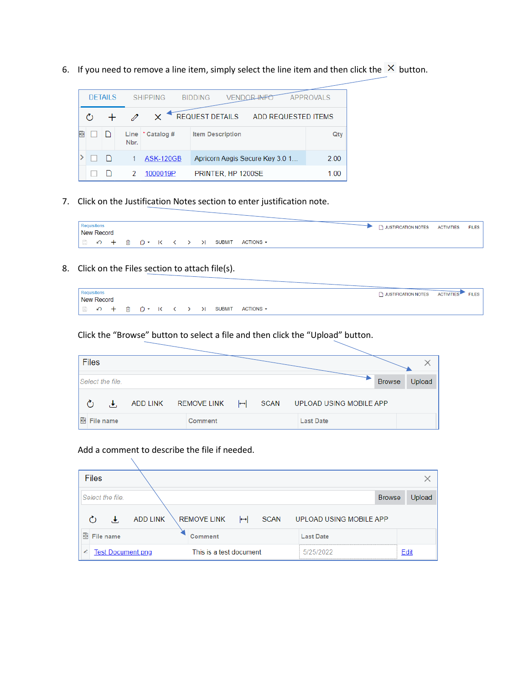6. If you need to remove a line item, simply select the line item and then click the  $\times$  button.

|  | <b>DETAILS</b> |      | <b>SHIPPING</b>    | <b>BIDDING</b>         | VFND                    |                                 | <b>APPROVALS</b> |
|--|----------------|------|--------------------|------------------------|-------------------------|---------------------------------|------------------|
|  |                |      |                    | <b>REQUEST DETAILS</b> |                         | ADD REQUESTED ITEMS             |                  |
|  |                | Nbr. | Line $*$ Catalog # |                        | <b>Item Description</b> |                                 | Qty              |
|  |                |      | <b>ASK-120GB</b>   |                        |                         | Apricorn Aegis Secure Key 3.0 1 | 2.00             |
|  |                | 2    | 1000019P           |                        | PRINTER, HP 1200SE      |                                 | 1.00             |

7. Click on the Justification Notes section to enter justification note.

|  | Requisitions<br>New Record |  |  |  |               |                         |  | JUSTIFICATION NOTES ACTIVITIES | <b>FILES</b> |
|--|----------------------------|--|--|--|---------------|-------------------------|--|--------------------------------|--------------|
|  |                            |  |  |  | <b>SUBMIT</b> | $ACTIONS$ $\rightarrow$ |  |                                |              |

8. Click on the Files section to attach file(s).

| Requisitions |  |  |  |  |           |  |  |  |  | A JUSTIFICATION NOTES ACTIVITIES | <b>FILES</b> |
|--------------|--|--|--|--|-----------|--|--|--|--|----------------------------------|--------------|
| New Record   |  |  |  |  |           |  |  |  |  |                                  |              |
|              |  |  |  |  | ACTIONS - |  |  |  |  |                                  |              |

Click the "Browse" button to select a file and then click the "Upload" button.

| <b>Files</b>     |           |                 |                    |                   |             |                         |               |        |
|------------------|-----------|-----------------|--------------------|-------------------|-------------|-------------------------|---------------|--------|
| Select the file. |           |                 |                    |                   |             |                         | <b>Browse</b> | Upload |
|                  |           | <b>ADD LINK</b> | <b>REMOVE LINK</b> | $\leftrightarrow$ | <b>SCAN</b> | UPLOAD USING MOBILE APP |               |        |
| 髙                | File name |                 | Comment            |                   |             | <b>Last Date</b>        |               |        |

#### Add a comment to describe the file if needed.

| <b>Files</b>                  |                                         |                         |        |
|-------------------------------|-----------------------------------------|-------------------------|--------|
| Select the file.              |                                         | <b>Browse</b>           | Upload |
| <b>ADD LINK</b>               | <b>REMOVE LINK</b><br><b>SCAN</b><br>∣↔ | UPLOAD USING MOBILE APP |        |
| 圕<br>File name                | Comment                                 | <b>Last Date</b>        |        |
| <b>Test Document.png</b><br>◢ | This is a test document                 | 5/25/2022               | Edit   |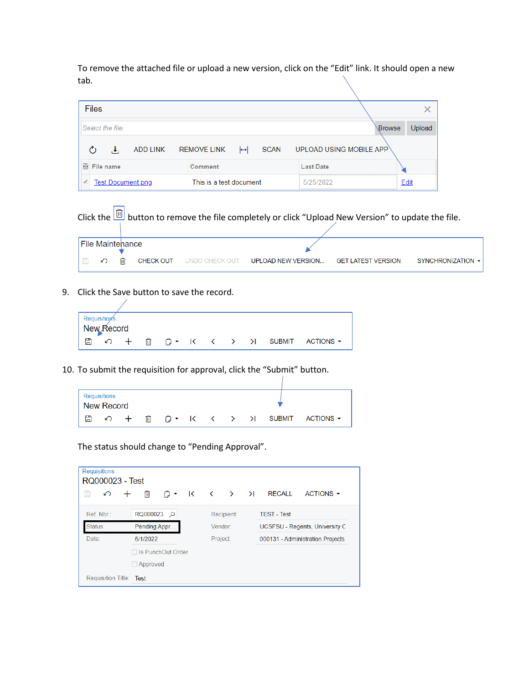To remove the attached file or upload a new version, click on the "Edit" link. It should open a new tab.

| <b>Files</b>                  |                         |                         |        |
|-------------------------------|-------------------------|-------------------------|--------|
| Select the file.              |                         | Browse                  | Upload |
| ADD LINK REMOVE LINK          | SCAN<br>⊶⊦              | UPLOAD USING MOBILE APP |        |
| <b>B</b> File name            | Comment                 | <b>Last Date</b>        |        |
| <b>Test Document</b> png<br>€ | This is a test document | 5/25/2022               | Edit   |



9. Click the Save button to save the record.

|   | <b>Requisition's</b> |  |  |  |  |                                  |  |
|---|----------------------|--|--|--|--|----------------------------------|--|
|   | New Record           |  |  |  |  |                                  |  |
| 圕 | $\circ$ +            |  |  |  |  | □ □ → K く > > H SUBMIT ACTIONS → |  |

10. To submit the requisition for approval, click the "Submit" button.

| l New Record | Requisitions |                     |   |  |  |  |  |
|--------------|--------------|---------------------|---|--|--|--|--|
| A            |              | $\curvearrowleft$ + | 血 |  |  |  |  |

The status should change to "Pending Approval".

| <b>Requisitions</b><br>RQ000023 - Test |                     |                                                                                                           |            |  |  |                                  |           |  |
|----------------------------------------|---------------------|-----------------------------------------------------------------------------------------------------------|------------|--|--|----------------------------------|-----------|--|
| H<br>∽<br>$\pm$                        | 侕                   | $\bigcap$ $\cdot$ $\quad$ $\left(\begin{array}{ccccc} & \circ & \circ & \circ & \circ \end{array}\right)$ |            |  |  | <b>RECALL</b>                    | ACTIONS - |  |
| Ref. Nbr:                              | RQ000023 Q          |                                                                                                           | Recipient: |  |  | <b>TEST - Test</b>               |           |  |
| Status:<br>Pending Appr                |                     |                                                                                                           | Vendor:    |  |  | UCSFSU - Regents, University C   |           |  |
| Date:<br>6/1/2022                      |                     | Project:                                                                                                  |            |  |  | 000131 - Administration Projects |           |  |
|                                        | □ Is PunchOut Order |                                                                                                           |            |  |  |                                  |           |  |
|                                        | $\Box$ Approved     |                                                                                                           |            |  |  |                                  |           |  |
| Requisition Title: Test                |                     |                                                                                                           |            |  |  |                                  |           |  |